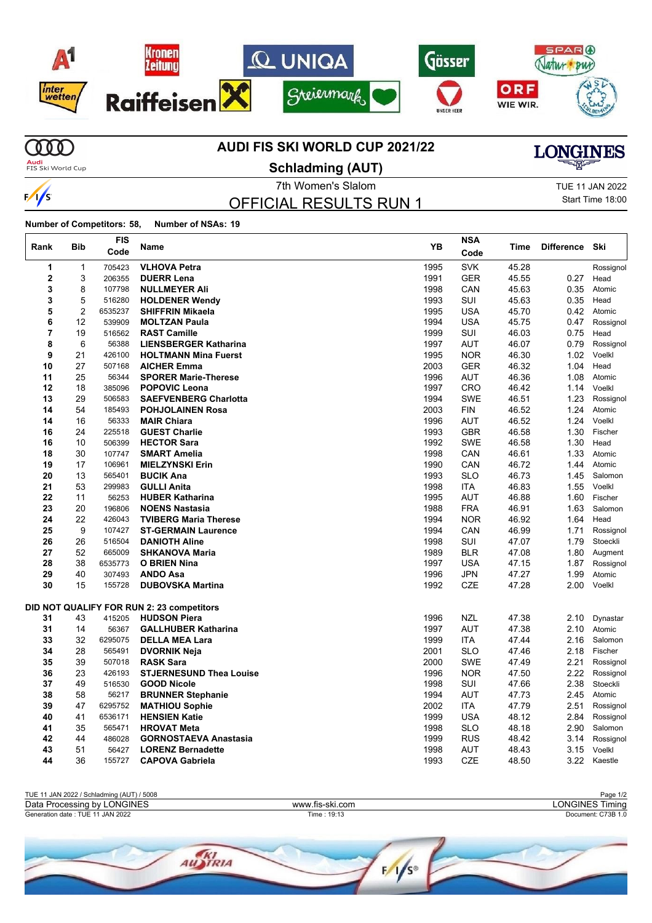

## **AUDI FIS SKI WORLD CUP 2021/22**

**MD Audi**<br>FIS Ski World Cup

 $\sqrt{s}$ 

 $\overline{1}$ 

**Schladming (AUT)**

OFFICIAL RESULTS RUN 1

7th Women's Slalom TUE 11 JAN 2022 Start Time 18:00

**LONGINES** 

**Number of Competitors: 58, Number of NSAs: 19**

| Rank | <b>Bib</b>     | <b>FIS</b><br>Code | Name                                      | YB   | <b>NSA</b><br>Code | Time  | <b>Difference</b> | Ski       |
|------|----------------|--------------------|-------------------------------------------|------|--------------------|-------|-------------------|-----------|
| 1    | 1              | 705423             | <b>VLHOVA Petra</b>                       | 1995 | <b>SVK</b>         | 45.28 |                   | Rossignol |
| 2    | 3              | 206355             | <b>DUERR Lena</b>                         | 1991 | <b>GER</b>         | 45.55 | 0.27              | Head      |
| 3    | 8              | 107798             | <b>NULLMEYER Ali</b>                      | 1998 | CAN                | 45.63 | 0.35              | Atomic    |
| 3    | 5              | 516280             | <b>HOLDENER Wendy</b>                     | 1993 | SUI                | 45.63 | 0.35              | Head      |
| 5    | $\overline{2}$ | 6535237            | <b>SHIFFRIN Mikaela</b>                   | 1995 | <b>USA</b>         | 45.70 | 0.42              | Atomic    |
| 6    | 12             | 539909             | <b>MOLTZAN Paula</b>                      | 1994 | <b>USA</b>         | 45.75 | 0.47              | Rossignol |
| 7    | 19             | 516562             | <b>RAST Camille</b>                       | 1999 | SUI                | 46.03 | 0.75              | Head      |
| 8    | 6              | 56388              | <b>LIENSBERGER Katharina</b>              | 1997 | <b>AUT</b>         | 46.07 | 0.79              | Rossignol |
| 9    | 21             | 426100             | <b>HOLTMANN Mina Fuerst</b>               | 1995 | <b>NOR</b>         | 46.30 | 1.02              | Voelkl    |
| 10   | 27             | 507168             | <b>AICHER Emma</b>                        | 2003 | <b>GER</b>         | 46.32 | 1.04              | Head      |
| 11   | 25             | 56344              | <b>SPORER Marie-Therese</b>               | 1996 | AUT                | 46.36 | 1.08              | Atomic    |
| 12   | 18             | 385096             | <b>POPOVIC Leona</b>                      | 1997 | <b>CRO</b>         | 46.42 | 1.14              | Voelkl    |
| 13   | 29             | 506583             | <b>SAEFVENBERG Charlotta</b>              | 1994 | <b>SWE</b>         | 46.51 | 1.23              | Rossignol |
| 14   | 54             | 185493             | <b>POHJOLAINEN Rosa</b>                   | 2003 | <b>FIN</b>         | 46.52 | 1.24              | Atomic    |
| 14   | 16             | 56333              | <b>MAIR Chiara</b>                        | 1996 | <b>AUT</b>         | 46.52 | 1.24              | Voelkl    |
| 16   | 24             | 225518             | <b>GUEST Charlie</b>                      | 1993 | <b>GBR</b>         | 46.58 | 1.30              | Fischer   |
| 16   | 10             | 506399             | <b>HECTOR Sara</b>                        | 1992 | <b>SWE</b>         | 46.58 | 1.30              | Head      |
| 18   | 30             | 107747             | <b>SMART Amelia</b>                       | 1998 | CAN                | 46.61 | 1.33              | Atomic    |
| 19   | 17             | 106961             | <b>MIELZYNSKI Erin</b>                    | 1990 | CAN                | 46.72 | 1.44              | Atomic    |
| 20   | 13             | 565401             | <b>BUCIK Ana</b>                          | 1993 | <b>SLO</b>         | 46.73 | 1.45              | Salomon   |
| 21   | 53             | 299983             | <b>GULLI Anita</b>                        | 1998 | <b>ITA</b>         | 46.83 | 1.55              | Voelkl    |
| 22   | 11             | 56253              | <b>HUBER Katharina</b>                    | 1995 | <b>AUT</b>         | 46.88 | 1.60              | Fischer   |
| 23   | 20             | 196806             | <b>NOENS Nastasia</b>                     | 1988 | <b>FRA</b>         | 46.91 | 1.63              | Salomon   |
| 24   | 22             | 426043             | <b>TVIBERG Maria Therese</b>              | 1994 | <b>NOR</b>         | 46.92 | 1.64              | Head      |
| 25   | 9              | 107427             | <b>ST-GERMAIN Laurence</b>                | 1994 | CAN                | 46.99 | 1.71              | Rossignol |
| 26   | 26             | 516504             | <b>DANIOTH Aline</b>                      | 1998 | SUI                | 47.07 | 1.79              | Stoeckli  |
| 27   | 52             | 665009             | <b>SHKANOVA Maria</b>                     | 1989 | <b>BLR</b>         | 47.08 | 1.80              | Augment   |
| 28   | 38             | 6535773            | <b>O BRIEN Nina</b>                       | 1997 | <b>USA</b>         | 47.15 | 1.87              | Rossignol |
| 29   | 40             | 307493             | <b>ANDO Asa</b>                           | 1996 | <b>JPN</b>         | 47.27 | 1.99              | Atomic    |
| 30   | 15             | 155728             | <b>DUBOVSKA Martina</b>                   | 1992 | <b>CZE</b>         | 47.28 | 2.00              | Voelkl    |
|      |                |                    | DID NOT QUALIFY FOR RUN 2: 23 competitors |      |                    |       |                   |           |
| 31   | 43             | 415205             | <b>HUDSON Piera</b>                       | 1996 | <b>NZL</b>         | 47.38 | 2.10              | Dynastar  |
| 31   | 14             | 56367              | <b>GALLHUBER Katharina</b>                | 1997 | <b>AUT</b>         | 47.38 | 2.10              | Atomic    |
| 33   | 32             | 6295075            | <b>DELLA MEA Lara</b>                     | 1999 | <b>ITA</b>         | 47.44 | 2.16              | Salomon   |
| 34   | 28             | 565491             | <b>DVORNIK Neja</b>                       | 2001 | <b>SLO</b>         | 47.46 | 2.18              | Fischer   |
| 35   | 39             | 507018             | <b>RASK Sara</b>                          | 2000 | <b>SWE</b>         | 47.49 | 2.21              | Rossignol |
| 36   | 23             | 426193             | <b>STJERNESUND Thea Louise</b>            | 1996 | <b>NOR</b>         | 47.50 | 2.22              | Rossignol |
| 37   | 49             | 516530             | <b>GOOD Nicole</b>                        | 1998 | SUI                | 47.66 | 2.38              | Stoeckli  |
| 38   | 58             | 56217              | <b>BRUNNER Stephanie</b>                  | 1994 | <b>AUT</b>         | 47.73 | 2.45              | Atomic    |
| 39   | 47             | 6295752            | <b>MATHIOU Sophie</b>                     | 2002 | <b>ITA</b>         | 47.79 | 2.51              | Rossignol |
| 40   | 41             | 6536171            | <b>HENSIEN Katie</b>                      | 1999 | <b>USA</b>         | 48.12 | 2.84              | Rossignol |
| 41   | 35             | 565471             | <b>HROVAT Meta</b>                        | 1998 | <b>SLO</b>         | 48.18 | 2.90              | Salomon   |
| 42   | 44             | 486028             | <b>GORNOSTAEVA Anastasia</b>              | 1999 | <b>RUS</b>         | 48.42 | 3.14              | Rossignol |
| 43   | 51             | 56427              | <b>LORENZ Bernadette</b>                  | 1998 | <b>AUT</b>         | 48.43 | 3.15              | Voelkl    |
| 44   | 36             | 155727             | <b>CAPOVA Gabriela</b>                    | 1993 | <b>CZE</b>         | 48.50 | 3.22              | Kaestle   |

| TUE 11 JAN 2022 / Schladming (AUT) / 5008 |                 | Page 1/2               |  |  |  |  |
|-------------------------------------------|-----------------|------------------------|--|--|--|--|
| Data Processing by LONGINES               | www.fis-ski.com | <b>LONGINES Timing</b> |  |  |  |  |
| Generation date: TUE 11 JAN 2022          | Time: 19:13     | Document: C73B 1.0     |  |  |  |  |
|                                           |                 |                        |  |  |  |  |
|                                           |                 |                        |  |  |  |  |
|                                           |                 |                        |  |  |  |  |

 $F/\sqrt{s}$ 

AUSTRIA